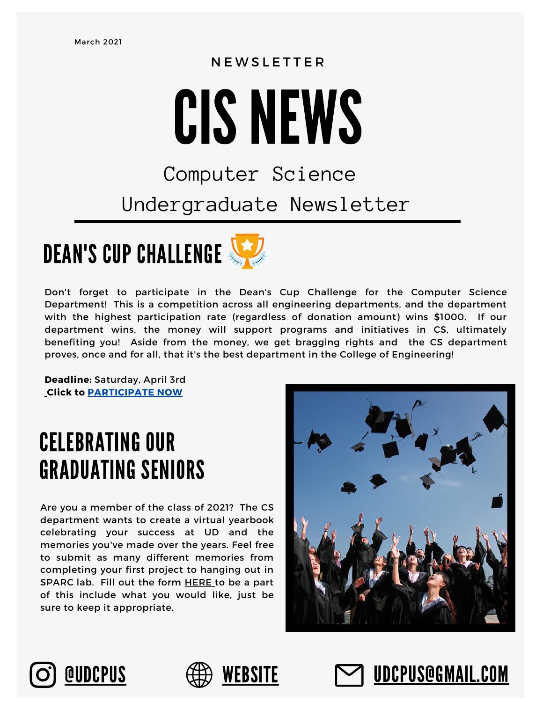### N E W S L E T T E R

# CIS NEWS

## Computer Science Undergraduate Newsletter



Don't forget to participate in the Dean's Cup Challenge for the Computer Science Department! This is a competition across all engineering departments, and the department with the highest participation rate (regardless of donation amount) wins \$1000. If our department wins, the money will support programs and initiatives in CS, ultimately benefiting you! Aside from the money, we get bragging rights and the CS department proves, once and for all, that it's the best department in the College of Engineering!

**Deadline:** Saturday, April 3rd **Click to [PARTICIPATE NOW](https://www.udel.edu/alumni-friends/give/henfunder/engineering-deans-cup-challenge/?cfpage=/o/university-of-delaware/i/college-of-engineering-deans-cup-challenge/s/computer-information-sciences)**

## CELEBRATING OUR GRADUATING SENIORS

Are you a member of the class of 2021? The CS department wants to create a virtual yearbook celebrating your success at UD and the memories you've made over the years. Feel free to submit as many different memories from completing your first project to hanging out in SPARC lab. Fill out the form [HERE](https://forms.gle/obdQSXJpRVeEnc5R9) to be a part of this include what you would like, just be sure to keep it appropriate.







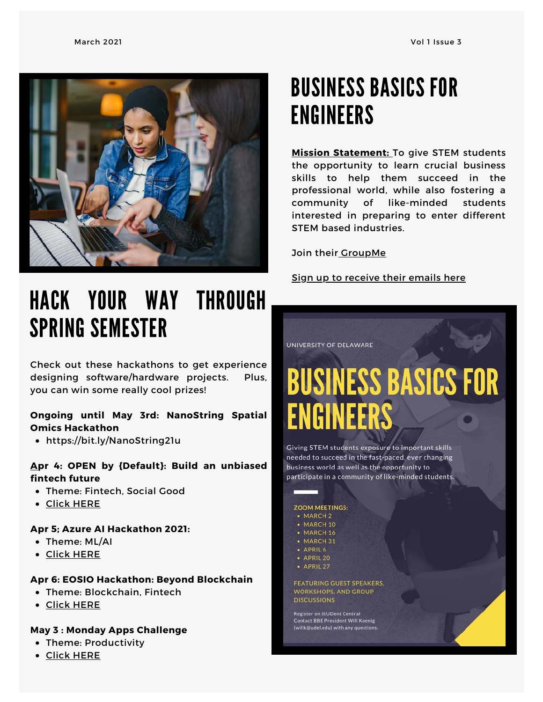

## HACK YOUR WAY THROUGH SPRING SEMESTER

Check out these hackathons to get experience designing software/hardware projects. Plus, you can win some really cool prizes!

### **Ongoing until May 3rd: NanoString Spatial Omics Hackathon**

<https://bit.ly/NanoString21u>

### **Apr 4: OPEN by {Default}: Build an unbiased fintech future**

- Theme: Fintech, Social Good
- Click [HERE](https://iwd.devpost.com/?utm_source=devpost&utm_medium=email&utm_campaign=finastra_openbydefault&utm_content=external)

### **Apr 5; Azure AI Hackathon 2021:**

- Theme: ML/AI
- Click [HERE](https://azureai.devpost.com/?utm_source=devpost&utm_medium=email&utm_campaign=azureai2021&utm_content=university)

### **Apr 6: EOSIO Hackathon: Beyond Blockchain**

- Theme: Blockchain, Fintech
- Click [HERE](https://eosio-beyond-blockchain.devpost.com/?utm_source=devpost&utm_medium=email&utm_campaign=eosio-beyond-blockchain&utm_content=university)

### **May 3 : Monday Apps Challenge**

- Theme: Productivity
- Click [HER](https://mondayappsteams.devpost.com/?utm_source=devpost&utm_medium=email&utm_campaign=mondayapps21_1&utm_content=external)E

## BUSINESS BASICS FOR ENGINEERS

**Mission Statement:** To give STEM students the opportunity to learn crucial business skills to help them succeed in the professional world, while also fostering a community of like-minded students interested in preparing to enter different STEM based industries.

Join their **GroupMe** 

Sign up to receive their emails [here](https://docs.google.com/spreadsheets/d/1rA4jG_tkM9HysdYUpl4lX_JQ2mafbD8-nBbu1MYmI_U/edit?usp=sharing)

### UNIVERSITY OF DELAWARE

# **BUSINESS BASICS FOR**

Giving STEM students exposure to important skills needed to succeed in the fast-paced, ever changing business world as well as the opportunity to participate in a community of like-minded students.

### **ZOOM MEETINGS:**  $-MARCH2$

- MARCH 10
- MARCH 16
- MARCH 31
- · APRIL 6
- · APRIL 20
- APRIL 27

**FEATURING GUEST SPEAKERS. WORKSHOPS, AND GROUP DISCUSSIONS** 

**Register on StUDent Central Contact BBE President Will Koenig** (willk@udel.edu) with any questions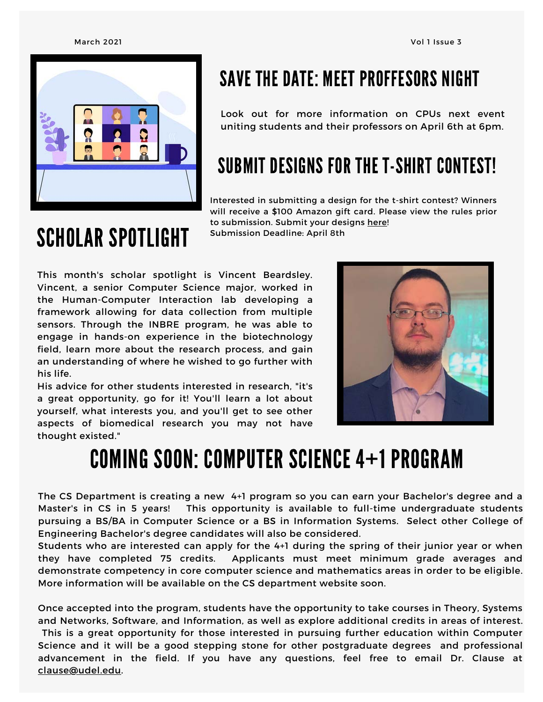

### SAVE THE DATE: MEET PROFFESORS NIGHT

Look out for more information on CPUs next event uniting students and their professors on April 6th at 6pm.

## SUBMIT DESIGNS FOR THE T-SHIRT CONTEST!

Interested in submitting a design for the t-shirt contest? Winners will receive a \$100 Amazon gift card. Please view the rules prior to submission. Submit your designs [here](https://forms.gle/wBDrEkdDVpaGTrWJA)! Submission Deadline: April 8th

## SCHOLAR SPOTLIGHT

This month's scholar spotlight is Vincent Beardsley. Vincent, a senior Computer Science major, worked in the Human-Computer Interaction lab developing a framework allowing for data collection from multiple sensors. Through the INBRE program, he was able to engage in hands-on experience in the biotechnology field, learn more about the research process, and gain an understanding of where he wished to go further with his life.

His advice for other students interested in research, "it's a great opportunity, go for it! You'll learn a lot about yourself, what interests you, and you'll get to see other aspects of biomedical research you may not have thought existed."



## COMING SOON: COMPUTER SCIENCE 4+1 PROGRAM

The CS Department is creating a new 4+1 program so you can earn your Bachelor's degree and a Master's in CS in 5 years! This opportunity is available to full-time undergraduate students pursuing a BS/BA in Computer Science or a BS in Information Systems. Select other College of Engineering Bachelor's degree candidates will also be considered.

Students who are interested can apply for the 4+1 during the spring of their junior year or when they have completed 75 credits. Applicants must meet minimum grade averages and demonstrate competency in core computer science and mathematics areas in order to be eligible. More information will be available on the CS department website soon.

Once accepted into the program, students have the opportunity to take courses in Theory, Systems and Networks, Software, and Information, as well as explore additional credits in areas of interest. This is a great opportunity for those interested in pursuing further education within Computer Science and it will be a good stepping stone for other postgraduate degrees and professional advancement in the field. If you have any questions, feel free to email Dr. Clause at [clause@udel.edu.](mailto:clause@udel.edu)